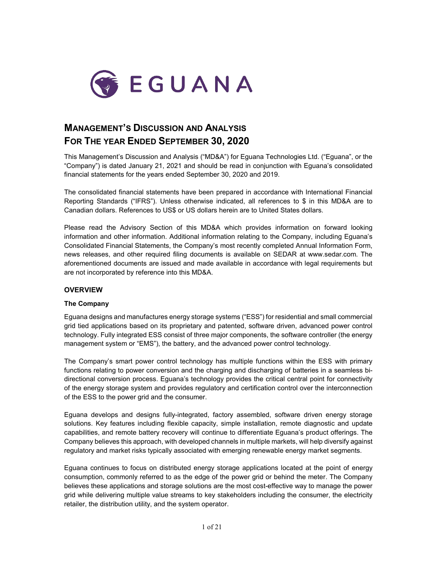

# **MANAGEMENT'S DISCUSSION AND ANALYSIS FOR THE YEAR ENDED SEPTEMBER 30, 2020**

This Management's Discussion and Analysis ("MD&A") for Eguana Technologies Ltd. ("Eguana", or the "Company") is dated January 21, 2021 and should be read in conjunction with Eguana's consolidated financial statements for the years ended September 30, 2020 and 2019.

The consolidated financial statements have been prepared in accordance with International Financial Reporting Standards ("IFRS"). Unless otherwise indicated, all references to \$ in this MD&A are to Canadian dollars. References to US\$ or US dollars herein are to United States dollars.

Please read the Advisory Section of this MD&A which provides information on forward looking information and other information. Additional information relating to the Company, including Eguana's Consolidated Financial Statements, the Company's most recently completed Annual Information Form, news releases, and other required filing documents is available on SEDAR at [www.sedar.com.](http://www.sedar.com/) The aforementioned documents are issued and made available in accordance with legal requirements but are not incorporated by reference into this MD&A.

# **OVERVIEW**

#### **The Company**

Eguana designs and manufactures energy storage systems ("ESS") for residential and small commercial grid tied applications based on its proprietary and patented, software driven, advanced power control technology. Fully integrated ESS consist of three major components, the software controller (the energy management system or "EMS"), the battery, and the advanced power control technology.

The Company's smart power control technology has multiple functions within the ESS with primary functions relating to power conversion and the charging and discharging of batteries in a seamless bidirectional conversion process. Eguana's technology provides the critical central point for connectivity of the energy storage system and provides regulatory and certification control over the interconnection of the ESS to the power grid and the consumer.

Eguana develops and designs fully-integrated, factory assembled, software driven energy storage solutions. Key features including flexible capacity, simple installation, remote diagnostic and update capabilities, and remote battery recovery will continue to differentiate Eguana's product offerings. The Company believes this approach, with developed channels in multiple markets, will help diversify against regulatory and market risks typically associated with emerging renewable energy market segments.

Eguana continues to focus on distributed energy storage applications located at the point of energy consumption, commonly referred to as the edge of the power grid or behind the meter. The Company believes these applications and storage solutions are the most cost-effective way to manage the power grid while delivering multiple value streams to key stakeholders including the consumer, the electricity retailer, the distribution utility, and the system operator.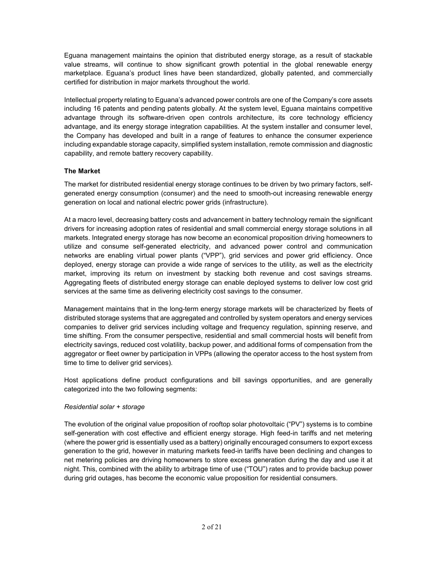Eguana management maintains the opinion that distributed energy storage, as a result of stackable value streams, will continue to show significant growth potential in the global renewable energy marketplace. Eguana's product lines have been standardized, globally patented, and commercially certified for distribution in major markets throughout the world.

Intellectual property relating to Eguana's advanced power controls are one of the Company's core assets including 16 patents and pending patents globally. At the system level, Eguana maintains competitive advantage through its software-driven open controls architecture, its core technology efficiency advantage, and its energy storage integration capabilities. At the system installer and consumer level, the Company has developed and built in a range of features to enhance the consumer experience including expandable storage capacity, simplified system installation, remote commission and diagnostic capability, and remote battery recovery capability.

# **The Market**

The market for distributed residential energy storage continues to be driven by two primary factors, selfgenerated energy consumption (consumer) and the need to smooth-out increasing renewable energy generation on local and national electric power grids (infrastructure).

At a macro level, decreasing battery costs and advancement in battery technology remain the significant drivers for increasing adoption rates of residential and small commercial energy storage solutions in all markets. Integrated energy storage has now become an economical proposition driving homeowners to utilize and consume self-generated electricity, and advanced power control and communication networks are enabling virtual power plants ("VPP"), grid services and power grid efficiency. Once deployed, energy storage can provide a wide range of services to the utility, as well as the electricity market, improving its return on investment by stacking both revenue and cost savings streams. Aggregating fleets of distributed energy storage can enable deployed systems to deliver low cost grid services at the same time as delivering electricity cost savings to the consumer.

Management maintains that in the long-term energy storage markets will be characterized by fleets of distributed storage systems that are aggregated and controlled by system operators and energy services companies to deliver grid services including voltage and frequency regulation, spinning reserve, and time shifting. From the consumer perspective, residential and small commercial hosts will benefit from electricity savings, reduced cost volatility, backup power, and additional forms of compensation from the aggregator or fleet owner by participation in VPPs (allowing the operator access to the host system from time to time to deliver grid services).

Host applications define product configurations and bill savings opportunities, and are generally categorized into the two following segments:

# *Residential solar + storage*

The evolution of the original value proposition of rooftop solar photovoltaic ("PV") systems is to combine self-generation with cost effective and efficient energy storage. High feed-in tariffs and net metering (where the power grid is essentially used as a battery) originally encouraged consumers to export excess generation to the grid, however in maturing markets feed-in tariffs have been declining and changes to net metering policies are driving homeowners to store excess generation during the day and use it at night. This, combined with the ability to arbitrage time of use ("TOU") rates and to provide backup power during grid outages, has become the economic value proposition for residential consumers.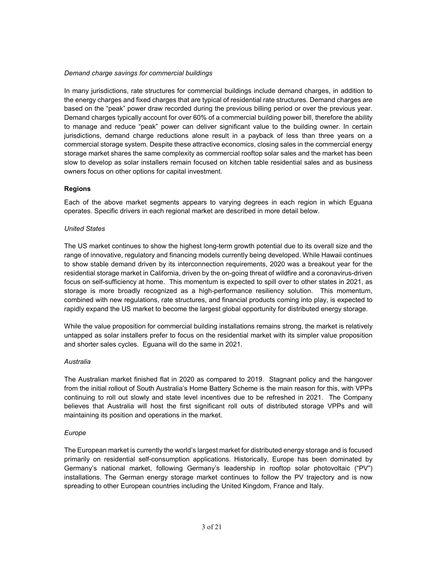#### *Demand charge savings for commercial buildings*

In many jurisdictions, rate structures for commercial buildings include demand charges, in addition to the energy charges and fixed charges that are typical of residential rate structures. Demand charges are based on the "peak" power draw recorded during the previous billing period or over the previous year. Demand charges typically account for over 60% of a commercial building power bill, therefore the ability to manage and reduce "peak" power can deliver significant value to the building owner. In certain jurisdictions, demand charge reductions alone result in a payback of less than three years on a commercial storage system. Despite these attractive economics, closing sales in the commercial energy storage market shares the same complexity as commercial rooftop solar sales and the market has been slow to develop as solar installers remain focused on kitchen table residential sales and as business owners focus on other options for capital investment.

## **Regions**

Each of the above market segments appears to varying degrees in each region in which Eguana operates. Specific drivers in each regional market are described in more detail below.

#### *United States*

The US market continues to show the highest long-term growth potential due to its overall size and the range of innovative, regulatory and financing models currently being developed. While Hawaii continues to show stable demand driven by its interconnection requirements, 2020 was a breakout year for the residential storage market in California, driven by the on-going threat of wildfire and a coronavirus-driven focus on self-sufficiency at home. This momentum is expected to spill over to other states in 2021, as storage is more broadly recognized as a high-performance resiliency solution. This momentum, combined with new regulations, rate structures, and financial products coming into play, is expected to rapidly expand the US market to become the largest global opportunity for distributed energy storage.

While the value proposition for commercial building installations remains strong, the market is relatively untapped as solar installers prefer to focus on the residential market with its simpler value proposition and shorter sales cycles. Eguana will do the same in 2021.

#### *Australia*

The Australian market finished flat in 2020 as compared to 2019. Stagnant policy and the hangover from the initial rollout of South Australia's Home Battery Scheme is the main reason for this, with VPPs continuing to roll out slowly and state level incentives due to be refreshed in 2021. The Company believes that Australia will host the first significant roll outs of distributed storage VPPs and will maintaining its position and operations in the market.

#### *Europe*

The European market is currently the world's largest market for distributed energy storage and is focused primarily on residential self-consumption applications. Historically, Europe has been dominated by Germany's national market, following Germany's leadership in rooftop solar photovoltaic ("PV") installations. The German energy storage market continues to follow the PV trajectory and is now spreading to other European countries including the United Kingdom, France and Italy.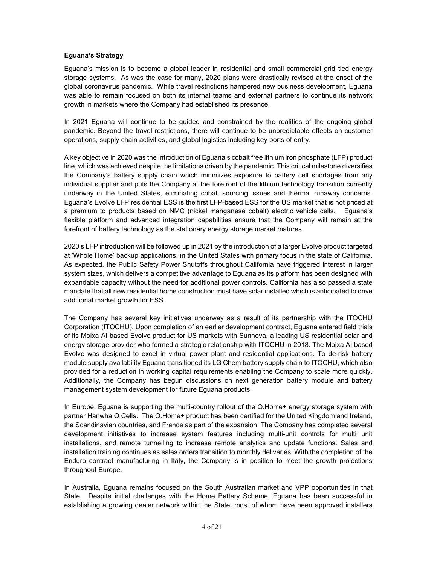#### **Eguana's Strategy**

Eguana's mission is to become a global leader in residential and small commercial grid tied energy storage systems. As was the case for many, 2020 plans were drastically revised at the onset of the global coronavirus pandemic. While travel restrictions hampered new business development, Eguana was able to remain focused on both its internal teams and external partners to continue its network growth in markets where the Company had established its presence.

In 2021 Eguana will continue to be guided and constrained by the realities of the ongoing global pandemic. Beyond the travel restrictions, there will continue to be unpredictable effects on customer operations, supply chain activities, and global logistics including key ports of entry.

A key objective in 2020 was the introduction of Eguana's cobalt free lithium iron phosphate (LFP) product line, which was achieved despite the limitations driven by the pandemic. This critical milestone diversifies the Company's battery supply chain which minimizes exposure to battery cell shortages from any individual supplier and puts the Company at the forefront of the lithium technology transition currently underway in the United States, eliminating cobalt sourcing issues and thermal runaway concerns. Eguana's Evolve LFP residential ESS is the first LFP-based ESS for the US market that is not priced at a premium to products based on NMC (nickel manganese cobalt) electric vehicle cells. Eguana's flexible platform and advanced integration capabilities ensure that the Company will remain at the forefront of battery technology as the stationary energy storage market matures.

2020's LFP introduction will be followed up in 2021 by the introduction of a larger Evolve product targeted at 'Whole Home' backup applications, in the United States with primary focus in the state of California. As expected, the Public Safety Power Shutoffs throughout California have triggered interest in larger system sizes, which delivers a competitive advantage to Eguana as its platform has been designed with expandable capacity without the need for additional power controls. California has also passed a state mandate that all new residential home construction must have solar installed which is anticipated to drive additional market growth for ESS.

The Company has several key initiatives underway as a result of its partnership with the ITOCHU Corporation (ITOCHU). Upon completion of an earlier development contract, Eguana entered field trials of its Moixa AI based Evolve product for US markets with Sunnova, a leading US residential solar and energy storage provider who formed a strategic relationship with ITOCHU in 2018. The Moixa AI based Evolve was designed to excel in virtual power plant and residential applications. To de-risk battery module supply availability Eguana transitioned its LG Chem battery supply chain to ITOCHU, which also provided for a reduction in working capital requirements enabling the Company to scale more quickly. Additionally, the Company has begun discussions on next generation battery module and battery management system development for future Eguana products.

In Europe, Eguana is supporting the multi-country rollout of the Q.Home+ energy storage system with partner Hanwha Q Cells. The Q.Home+ product has been certified for the United Kingdom and Ireland, the Scandinavian countries, and France as part of the expansion. The Company has completed several development initiatives to increase system features including multi-unit controls for multi unit installations, and remote tunnelling to increase remote analytics and update functions. Sales and installation training continues as sales orders transition to monthly deliveries. With the completion of the Enduro contract manufacturing in Italy, the Company is in position to meet the growth projections throughout Europe.

In Australia, Eguana remains focused on the South Australian market and VPP opportunities in that State. Despite initial challenges with the Home Battery Scheme, Eguana has been successful in establishing a growing dealer network within the State, most of whom have been approved installers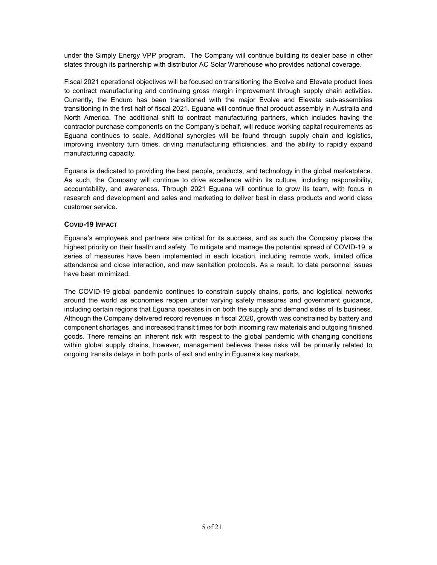under the Simply Energy VPP program. The Company will continue building its dealer base in other states through its partnership with distributor AC Solar Warehouse who provides national coverage.

Fiscal 2021 operational objectives will be focused on transitioning the Evolve and Elevate product lines to contract manufacturing and continuing gross margin improvement through supply chain activities. Currently, the Enduro has been transitioned with the major Evolve and Elevate sub-assemblies transitioning in the first half of fiscal 2021. Eguana will continue final product assembly in Australia and North America. The additional shift to contract manufacturing partners, which includes having the contractor purchase components on the Company's behalf, will reduce working capital requirements as Eguana continues to scale. Additional synergies will be found through supply chain and logistics, improving inventory turn times, driving manufacturing efficiencies, and the ability to rapidly expand manufacturing capacity.

Eguana is dedicated to providing the best people, products, and technology in the global marketplace. As such, the Company will continue to drive excellence within its culture, including responsibility, accountability, and awareness. Through 2021 Eguana will continue to grow its team, with focus in research and development and sales and marketing to deliver best in class products and world class customer service.

#### **COVID-19 IMPACT**

Eguana's employees and partners are critical for its success, and as such the Company places the highest priority on their health and safety. To mitigate and manage the potential spread of COVID-19, a series of measures have been implemented in each location, including remote work, limited office attendance and close interaction, and new sanitation protocols. As a result, to date personnel issues have been minimized.

The COVID-19 global pandemic continues to constrain supply chains, ports, and logistical networks around the world as economies reopen under varying safety measures and government guidance, including certain regions that Eguana operates in on both the supply and demand sides of its business. Although the Company delivered record revenues in fiscal 2020, growth was constrained by battery and component shortages, and increased transit times for both incoming raw materials and outgoing finished goods. There remains an inherent risk with respect to the global pandemic with changing conditions within global supply chains, however, management believes these risks will be primarily related to ongoing transits delays in both ports of exit and entry in Eguana's key markets.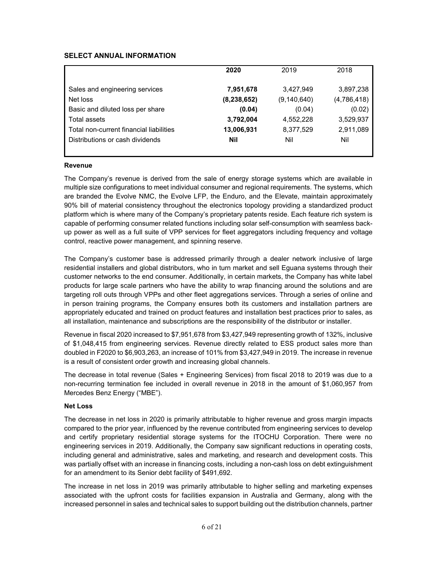# **SELECT ANNUAL INFORMATION**

|                                         | 2020          | 2019          | 2018        |
|-----------------------------------------|---------------|---------------|-------------|
| Sales and engineering services          | 7,951,678     | 3,427,949     | 3,897,238   |
| Net loss                                | (8, 238, 652) | (9, 140, 640) | (4,786,418) |
| Basic and diluted loss per share        | (0.04)        | (0.04)        | (0.02)      |
| Total assets                            | 3,792,004     | 4,552,228     | 3,529,937   |
| Total non-current financial liabilities | 13,006,931    | 8,377,529     | 2,911,089   |
| Distributions or cash dividends         | Nil           | Nil           | Nil         |
|                                         |               |               |             |

#### **Revenue**

The Company's revenue is derived from the sale of energy storage systems which are available in multiple size configurations to meet individual consumer and regional requirements. The systems, which are branded the Evolve NMC, the Evolve LFP, the Enduro, and the Elevate, maintain approximately 90% bill of material consistency throughout the electronics topology providing a standardized product platform which is where many of the Company's proprietary patents reside. Each feature rich system is capable of performing consumer related functions including solar self-consumption with seamless backup power as well as a full suite of VPP services for fleet aggregators including frequency and voltage control, reactive power management, and spinning reserve.

The Company's customer base is addressed primarily through a dealer network inclusive of large residential installers and global distributors, who in turn market and sell Eguana systems through their customer networks to the end consumer. Additionally, in certain markets, the Company has white label products for large scale partners who have the ability to wrap financing around the solutions and are targeting roll outs through VPPs and other fleet aggregations services. Through a series of online and in person training programs, the Company ensures both its customers and installation partners are appropriately educated and trained on product features and installation best practices prior to sales, as all installation, maintenance and subscriptions are the responsibility of the distributor or installer.

Revenue in fiscal 2020 increased to \$7,951,678 from \$3,427,949 representing growth of 132%, inclusive of \$1,048,415 from engineering services. Revenue directly related to ESS product sales more than doubled in F2020 to \$6,903,263, an increase of 101% from \$3,427,949 in 2019. The increase in revenue is a result of consistent order growth and increasing global channels.

The decrease in total revenue (Sales + Engineering Services) from fiscal 2018 to 2019 was due to a non-recurring termination fee included in overall revenue in 2018 in the amount of \$1,060,957 from Mercedes Benz Energy ("MBE").

#### **Net Loss**

The decrease in net loss in 2020 is primarily attributable to higher revenue and gross margin impacts compared to the prior year, influenced by the revenue contributed from engineering services to develop and certify proprietary residential storage systems for the ITOCHU Corporation. There were no engineering services in 2019. Additionally, the Company saw significant reductions in operating costs, including general and administrative, sales and marketing, and research and development costs. This was partially offset with an increase in financing costs, including a non-cash loss on debt extinguishment for an amendment to its Senior debt facility of \$491,692.

The increase in net loss in 2019 was primarily attributable to higher selling and marketing expenses associated with the upfront costs for facilities expansion in Australia and Germany, along with the increased personnel in sales and technical sales to support building out the distribution channels, partner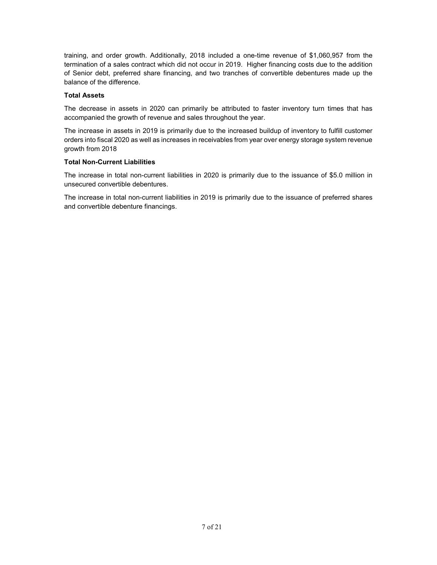training, and order growth. Additionally, 2018 included a one-time revenue of \$1,060,957 from the termination of a sales contract which did not occur in 2019. Higher financing costs due to the addition of Senior debt, preferred share financing, and two tranches of convertible debentures made up the balance of the difference.

## **Total Assets**

The decrease in assets in 2020 can primarily be attributed to faster inventory turn times that has accompanied the growth of revenue and sales throughout the year.

The increase in assets in 2019 is primarily due to the increased buildup of inventory to fulfill customer orders into fiscal 2020 as well as increases in receivables from year over energy storage system revenue growth from 2018

## **Total Non-Current Liabilities**

The increase in total non-current liabilities in 2020 is primarily due to the issuance of \$5.0 million in unsecured convertible debentures.

The increase in total non-current liabilities in 2019 is primarily due to the issuance of preferred shares and convertible debenture financings.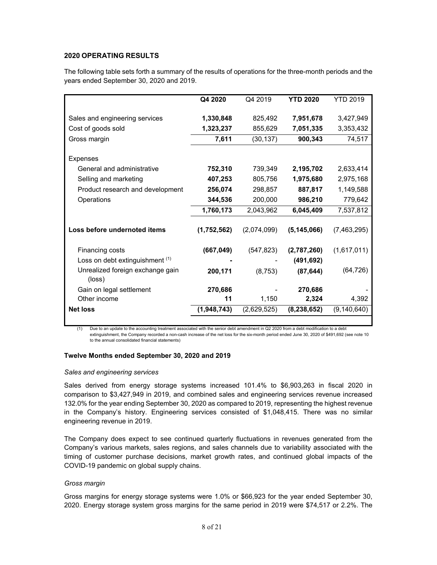# **2020 OPERATING RESULTS**

The following table sets forth a summary of the results of operations for the three-month periods and the years ended September 30, 2020 and 2019.

|                                            | Q4 2020     | Q4 2019     | <b>YTD 2020</b> | <b>YTD 2019</b> |
|--------------------------------------------|-------------|-------------|-----------------|-----------------|
|                                            |             |             |                 |                 |
| Sales and engineering services             | 1,330,848   | 825,492     | 7,951,678       | 3,427,949       |
| Cost of goods sold                         | 1,323,237   | 855,629     | 7,051,335       | 3,353,432       |
| Gross margin                               | 7,611       | (30, 137)   | 900,343         | 74,517          |
| Expenses                                   |             |             |                 |                 |
| General and administrative                 | 752,310     | 739,349     | 2,195,702       | 2,633,414       |
| Selling and marketing                      | 407,253     | 805,756     | 1,975,680       | 2,975,168       |
| Product research and development           | 256,074     | 298,857     | 887,817         | 1,149,588       |
| Operations                                 | 344,536     | 200,000     | 986,210         | 779,642         |
|                                            | 1,760,173   | 2,043,962   | 6,045,409       | 7,537,812       |
| Loss before undernoted items               | (1,752,562) | (2,074,099) | (5, 145, 066)   | (7,463,295)     |
| Financing costs                            | (667, 049)  | (547, 823)  | (2,787,260)     | (1,617,011)     |
| Loss on debt extinguishment (1)            |             |             | (491, 692)      |                 |
| Unrealized foreign exchange gain<br>(loss) | 200,171     | (8, 753)    | (87, 644)       | (64, 726)       |
| Gain on legal settlement                   | 270,686     |             | 270,686         |                 |
| Other income                               | 11          | 1,150       | 2,324           | 4,392           |
| <b>Net loss</b>                            | (1,948,743) | (2,629,525) | (8, 238, 652)   | (9, 140, 640)   |
|                                            |             |             |                 |                 |

(1) Due to an update to the accounting treatment associated with the senior debt amendment in Q2 2020 from a debt modification to a debt extinguishment, the Company recorded a non-cash increase of the net loss for the six-month period ended June 30, 2020 of \$491,692 (see note 10 to the annual consolidated financial statements)

#### **Twelve Months ended September 30, 2020 and 2019**

#### *Sales and engineering services*

Sales derived from energy storage systems increased 101.4% to \$6,903,263 in fiscal 2020 in comparison to \$3,427,949 in 2019, and combined sales and engineering services revenue increased 132.0% for the year ending September 30, 2020 as compared to 2019, representing the highest revenue in the Company's history. Engineering services consisted of \$1,048,415. There was no similar engineering revenue in 2019.

The Company does expect to see continued quarterly fluctuations in revenues generated from the Company's various markets, sales regions, and sales channels due to variability associated with the timing of customer purchase decisions, market growth rates, and continued global impacts of the COVID-19 pandemic on global supply chains.

#### *Gross margin*

Gross margins for energy storage systems were 1.0% or \$66,923 for the year ended September 30, 2020. Energy storage system gross margins for the same period in 2019 were \$74,517 or 2.2%. The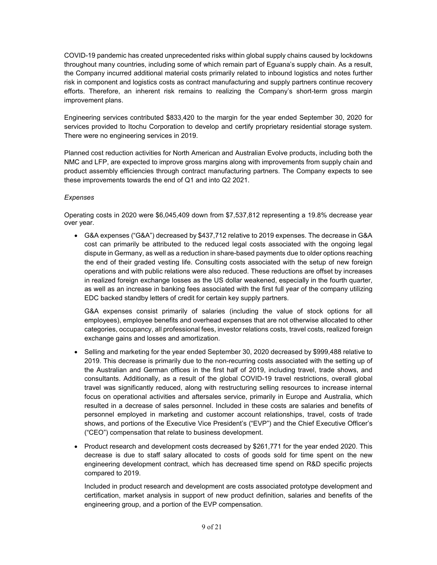COVID-19 pandemic has created unprecedented risks within global supply chains caused by lockdowns throughout many countries, including some of which remain part of Eguana's supply chain. As a result, the Company incurred additional material costs primarily related to inbound logistics and notes further risk in component and logistics costs as contract manufacturing and supply partners continue recovery efforts. Therefore, an inherent risk remains to realizing the Company's short-term gross margin improvement plans.

Engineering services contributed \$833,420 to the margin for the year ended September 30, 2020 for services provided to Itochu Corporation to develop and certify proprietary residential storage system. There were no engineering services in 2019.

Planned cost reduction activities for North American and Australian Evolve products, including both the NMC and LFP, are expected to improve gross margins along with improvements from supply chain and product assembly efficiencies through contract manufacturing partners. The Company expects to see these improvements towards the end of Q1 and into Q2 2021.

## *Expenses*

Operating costs in 2020 were \$6,045,409 down from \$7,537,812 representing a 19.8% decrease year over year.

• G&A expenses ("G&A") decreased by \$437,712 relative to 2019 expenses. The decrease in G&A cost can primarily be attributed to the reduced legal costs associated with the ongoing legal dispute in Germany, as well as a reduction in share-based payments due to older options reaching the end of their graded vesting life. Consulting costs associated with the setup of new foreign operations and with public relations were also reduced. These reductions are offset by increases in realized foreign exchange losses as the US dollar weakened, especially in the fourth quarter, as well as an increase in banking fees associated with the first full year of the company utilizing EDC backed standby letters of credit for certain key supply partners.

G&A expenses consist primarily of salaries (including the value of stock options for all employees), employee benefits and overhead expenses that are not otherwise allocated to other categories, occupancy, all professional fees, investor relations costs, travel costs, realized foreign exchange gains and losses and amortization.

- Selling and marketing for the year ended September 30, 2020 decreased by \$999,488 relative to 2019. This decrease is primarily due to the non-recurring costs associated with the setting up of the Australian and German offices in the first half of 2019, including travel, trade shows, and consultants. Additionally, as a result of the global COVID-19 travel restrictions, overall global travel was significantly reduced, along with restructuring selling resources to increase internal focus on operational activities and aftersales service, primarily in Europe and Australia, which resulted in a decrease of sales personnel. Included in these costs are salaries and benefits of personnel employed in marketing and customer account relationships, travel, costs of trade shows, and portions of the Executive Vice President's ("EVP") and the Chief Executive Officer's ("CEO") compensation that relate to business development.
- Product research and development costs decreased by \$261,771 for the year ended 2020. This decrease is due to staff salary allocated to costs of goods sold for time spent on the new engineering development contract, which has decreased time spend on R&D specific projects compared to 2019.

Included in product research and development are costs associated prototype development and certification, market analysis in support of new product definition, salaries and benefits of the engineering group, and a portion of the EVP compensation.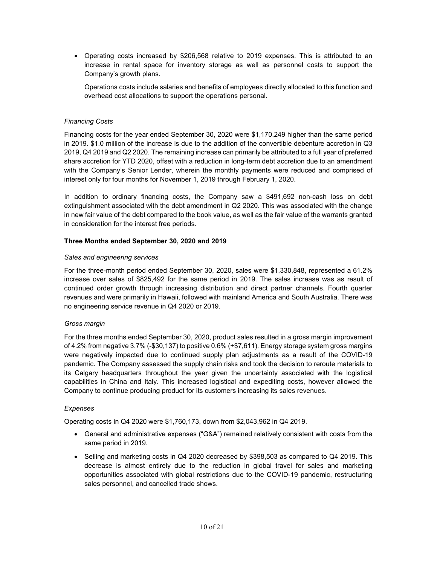• Operating costs increased by \$206,568 relative to 2019 expenses. This is attributed to an increase in rental space for inventory storage as well as personnel costs to support the Company's growth plans.

Operations costs include salaries and benefits of employees directly allocated to this function and overhead cost allocations to support the operations personal.

#### *Financing Costs*

Financing costs for the year ended September 30, 2020 were \$1,170,249 higher than the same period in 2019. \$1.0 million of the increase is due to the addition of the convertible debenture accretion in Q3 2019, Q4 2019 and Q2 2020. The remaining increase can primarily be attributed to a full year of preferred share accretion for YTD 2020, offset with a reduction in long-term debt accretion due to an amendment with the Company's Senior Lender, wherein the monthly payments were reduced and comprised of interest only for four months for November 1, 2019 through February 1, 2020.

In addition to ordinary financing costs, the Company saw a \$491,692 non-cash loss on debt extinguishment associated with the debt amendment in Q2 2020. This was associated with the change in new fair value of the debt compared to the book value, as well as the fair value of the warrants granted in consideration for the interest free periods.

## **Three Months ended September 30, 2020 and 2019**

#### *Sales and engineering services*

For the three-month period ended September 30, 2020, sales were \$1,330,848, represented a 61.2% increase over sales of \$825,492 for the same period in 2019. The sales increase was as result of continued order growth through increasing distribution and direct partner channels. Fourth quarter revenues and were primarily in Hawaii, followed with mainland America and South Australia. There was no engineering service revenue in Q4 2020 or 2019.

#### *Gross margin*

For the three months ended September 30, 2020, product sales resulted in a gross margin improvement of 4.2% from negative 3.7% (-\$30,137) to positive 0.6% (+\$7,611). Energy storage system gross margins were negatively impacted due to continued supply plan adjustments as a result of the COVID-19 pandemic. The Company assessed the supply chain risks and took the decision to reroute materials to its Calgary headquarters throughout the year given the uncertainty associated with the logistical capabilities in China and Italy. This increased logistical and expediting costs, however allowed the Company to continue producing product for its customers increasing its sales revenues.

#### *Expenses*

Operating costs in Q4 2020 were \$1,760,173, down from \$2,043,962 in Q4 2019.

- General and administrative expenses ("G&A") remained relatively consistent with costs from the same period in 2019.
- Selling and marketing costs in Q4 2020 decreased by \$398,503 as compared to Q4 2019. This decrease is almost entirely due to the reduction in global travel for sales and marketing opportunities associated with global restrictions due to the COVID-19 pandemic, restructuring sales personnel, and cancelled trade shows.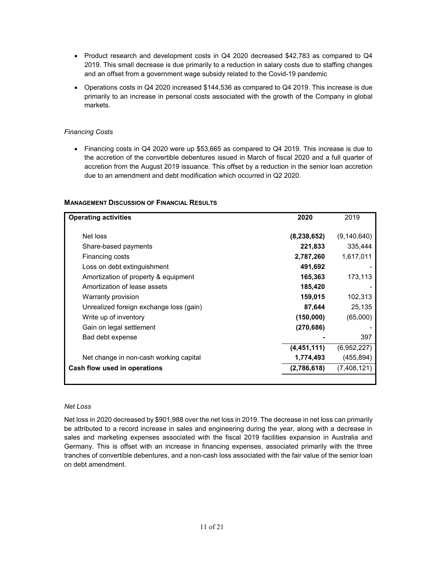- Product research and development costs in Q4 2020 decreased \$42,783 as compared to Q4 2019. This small decrease is due primarily to a reduction in salary costs due to staffing changes and an offset from a government wage subsidy related to the Covid-19 pandemic
- Operations costs in Q4 2020 increased \$144,536 as compared to Q4 2019. This increase is due primarily to an increase in personal costs associated with the growth of the Company in global markets.

## *Financing Costs*

• Financing costs in Q4 2020 were up \$53,665 as compared to Q4 2019. This increase is due to the accretion of the convertible debentures issued in March of fiscal 2020 and a full quarter of accretion from the August 2019 issuance. This offset by a reduction in the senior loan accretion due to an amendment and debt modification which occurred in Q2 2020.

| <b>Operating activities</b>             | 2020          | 2019          |
|-----------------------------------------|---------------|---------------|
| Net loss                                | (8, 238, 652) | (9, 140, 640) |
| Share-based payments                    | 221,833       | 335,444       |
| Financing costs                         | 2,787,260     | 1,617,011     |
| Loss on debt extinguishment             | 491,692       |               |
| Amortization of property & equipment    | 165,363       | 173,113       |
| Amortization of lease assets            | 185,420       |               |
| Warranty provision                      | 159,015       | 102,313       |
| Unrealized foreign exchange loss (gain) | 87,644        | 25,135        |
| Write up of inventory                   | (150,000)     | (65,000)      |
| Gain on legal settlement                | (270,686)     |               |
| Bad debt expense                        |               | 397           |
|                                         | (4,451,111)   | (6,952,227)   |
| Net change in non-cash working capital  | 1,774,493     | (455, 894)    |
| Cash flow used in operations            | (2,786,618)   | (7,408,121)   |
|                                         |               |               |

## **MANAGEMENT DISCUSSION OF FINANCIAL RESULTS**

#### *Net Loss*

Net loss in 2020 decreased by \$901,988 over the net loss in 2019. The decrease in net loss can primarily be attributed to a record increase in sales and engineering during the year, along with a decrease in sales and marketing expenses associated with the fiscal 2019 facilities expansion in Australia and Germany. This is offset with an increase in financing expenses, associated primarily with the three tranches of convertible debentures, and a non-cash loss associated with the fair value of the senior loan on debt amendment.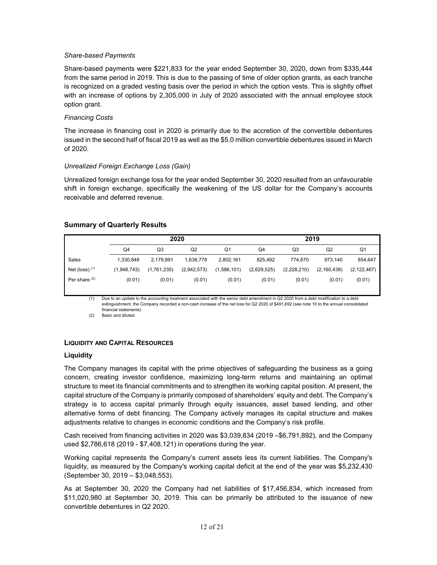#### *Share-based Payments*

Share-based payments were \$221,833 for the year ended September 30, 2020, down from \$335,444 from the same period in 2019. This is due to the passing of time of older option grants, as each tranche is recognized on a graded vesting basis over the period in which the option vests. This is slightly offset with an increase of options by 2,305,000 in July of 2020 associated with the annual employee stock option grant.

#### *Financing Costs*

The increase in financing cost in 2020 is primarily due to the accretion of the convertible debentures issued in the second half of fiscal 2019 as well as the \$5.0 million convertible debentures issued in March of 2020.

#### *Unrealized Foreign Exchange Loss (Gain)*

Unrealized foreign exchange loss for the year ended September 30, 2020 resulted from an unfavourable shift in foreign exchange, specifically the weakening of the US dollar for the Company's accounts receivable and deferred revenue.

## **Summary of Quarterly Results**

|                          | 2020           |             |             | 2019           |             |             |               |                |
|--------------------------|----------------|-------------|-------------|----------------|-------------|-------------|---------------|----------------|
|                          | Q <sub>4</sub> | Q3          | Q2          | Q <sub>1</sub> | Q4          | Q3          | Q2            | Q <sub>1</sub> |
| Sales                    | 1.330.848      | 2.179.891   | 1.638.778   | 2,802,161      | 825,492     | 774.670     | 973.140       | 854,647        |
| Net (loss) $(1)$         | (1,948,743)    | (1,761,235) | (2,942,573) | (1,586,101)    | (2,629,525) | (2,228,210) | (2, 160, 438) | (2, 122, 467)  |
| Per share <sup>(2)</sup> | (0.01)         | (0.01)      | (0.01)      | (0.01)         | (0.01)      | (0.01)      | (0.01)        | (0.01)         |

(1) Due to an update to the accounting treatment associated with the senior debt amendment in Q2 2020 from a debt modification to a debt extinguishment, the Company recorded a non-cash increase of the net loss for Q2 2020 of \$491,692 (see note 10 to the annual consolidated financial statements)

(2) Basic and diluted

#### **LIQUIDITY AND CAPITAL RESOURCES**

#### **Liquidity**

The Company manages its capital with the prime objectives of safeguarding the business as a going concern, creating investor confidence, maximizing long-term returns and maintaining an optimal structure to meet its financial commitments and to strengthen its working capital position. At present, the capital structure of the Company is primarily composed of shareholders' equity and debt. The Company's strategy is to access capital primarily through equity issuances, asset based lending, and other alternative forms of debt financing. The Company actively manages its capital structure and makes adjustments relative to changes in economic conditions and the Company's risk profile.

Cash received from financing activities in 2020 was \$3,039,834 (2019 –\$6,791,892), and the Company used \$2,786,618 (2019 - \$7,408,121) in operations during the year.

Working capital represents the Company's current assets less its current liabilities. The Company's liquidity, as measured by the Company's working capital deficit at the end of the year was \$5,232,430 (September 30, 2019 – \$3,048,553).

As at September 30, 2020 the Company had net liabilities of \$17,456,834, which increased from \$11,020,980 at September 30, 2019. This can be primarily be attributed to the issuance of new convertible debentures in Q2 2020.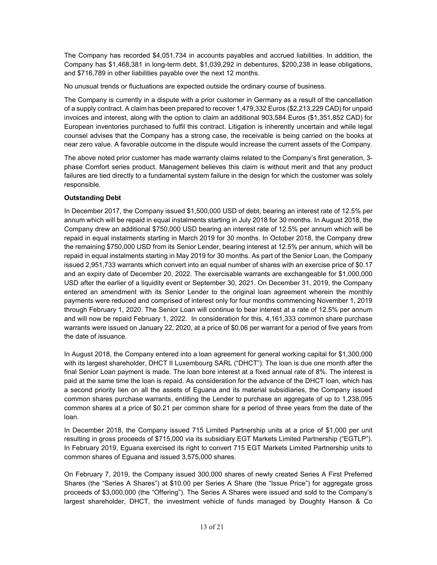The Company has recorded \$4,051,734 in accounts payables and accrued liabilities. In addition, the Company has \$1,468,381 in long-term debt, \$1,039,292 in debentures, \$200,238 in lease obligations, and \$716,789 in other liabilities payable over the next 12 months.

No unusual trends or fluctuations are expected outside the ordinary course of business.

The Company is currently in a dispute with a prior customer in Germany as a result of the cancellation of a supply contract. A claim has been prepared to recover 1,479,332 Euros (\$2,213,229 CAD) for unpaid invoices and interest, along with the option to claim an additional 903,584 Euros (\$1,351,852 CAD) for European inventories purchased to fulfil this contract. Litigation is inherently uncertain and while legal counsel advises that the Company has a strong case, the receivable is being carried on the books at near zero value. A favorable outcome in the dispute would increase the current assets of the Company.

The above noted prior customer has made warranty claims related to the Company's first generation, 3 phase Comfort series product. Management believes this claim is without merit and that any product failures are tied directly to a fundamental system failure in the design for which the customer was solely responsible.

# **Outstanding Debt**

In December 2017, the Company issued \$1,500,000 USD of debt, bearing an interest rate of 12.5% per annum which will be repaid in equal instalments starting in July 2018 for 30 months. In August 2018, the Company drew an additional \$750,000 USD bearing an interest rate of 12.5% per annum which will be repaid in equal instalments starting in March 2019 for 30 months. In October 2018, the Company drew the remaining \$750,000 USD from its Senior Lender, bearing interest at 12.5% per annum, which will be repaid in equal instalments starting in May 2019 for 30 months. As part of the Senior Loan, the Company issued 2,951,733 warrants which convert into an equal number of shares with an exercise price of \$0.17 and an expiry date of December 20, 2022. The exercisable warrants are exchangeable for \$1,000,000 USD after the earlier of a liquidity event or September 30, 2021. On December 31, 2019, the Company entered an amendment with its Senior Lender to the original loan agreement wherein the monthly payments were reduced and comprised of interest only for four months commencing November 1, 2019 through February 1, 2020. The Senior Loan will continue to bear interest at a rate of 12.5% per annum and will now be repaid February 1, 2022. In consideration for this, 4,161,333 common share purchase warrants were issued on January 22, 2020, at a price of \$0.06 per warrant for a period of five years from the date of issuance.

In August 2018, the Company entered into a loan agreement for general working capital for \$1,300,000 with its largest shareholder, DHCT II Luxembourg SARL ("DHCT"). The loan is due one month after the final Senior Loan payment is made. The loan bore interest at a fixed annual rate of 8%. The interest is paid at the same time the loan is repaid. As consideration for the advance of the DHCT loan, which has a second priority lien on all the assets of Eguana and its material subsidiaries, the Company issued common shares purchase warrants, entitling the Lender to purchase an aggregate of up to 1,238,095 common shares at a price of \$0.21 per common share for a period of three years from the date of the loan.

In December 2018, the Company issued 715 Limited Partnership units at a price of \$1,000 per unit resulting in gross proceeds of \$715,000 via its subsidiary EGT Markets Limited Partnership ("EGTLP"). In February 2019, Eguana exercised its right to convert 715 EGT Markets Limited Partnership units to common shares of Eguana and issued 3,575,000 shares.

On February 7, 2019, the Company issued 300,000 shares of newly created Series A First Preferred Shares (the "Series A Shares") at \$10.00 per Series A Share (the "Issue Price") for aggregate gross proceeds of \$3,000,000 (the "Offering"). The Series A Shares were issued and sold to the Company's largest shareholder, DHCT, the investment vehicle of funds managed by Doughty Hanson & Co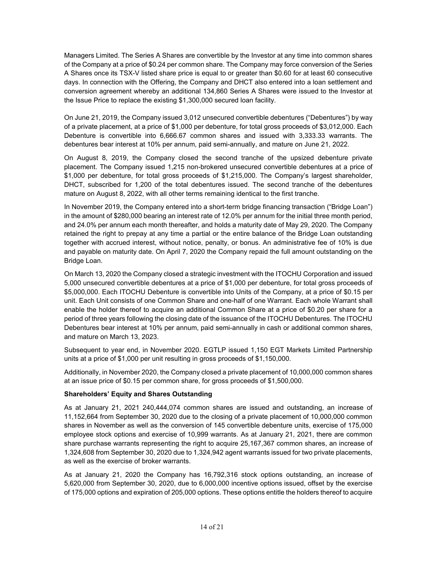Managers Limited. The Series A Shares are convertible by the Investor at any time into common shares of the Company at a price of \$0.24 per common share. The Company may force conversion of the Series A Shares once its TSX-V listed share price is equal to or greater than \$0.60 for at least 60 consecutive days. In connection with the Offering, the Company and DHCT also entered into a loan settlement and conversion agreement whereby an additional 134,860 Series A Shares were issued to the Investor at the Issue Price to replace the existing \$1,300,000 secured loan facility.

On June 21, 2019, the Company issued 3,012 unsecured convertible debentures ("Debentures") by way of a private placement, at a price of \$1,000 per debenture, for total gross proceeds of \$3,012,000. Each Debenture is convertible into 6,666.67 common shares and issued with 3,333.33 warrants. The debentures bear interest at 10% per annum, paid semi-annually, and mature on June 21, 2022.

On August 8, 2019, the Company closed the second tranche of the upsized debenture private placement. The Company issued 1,215 non-brokered unsecured convertible debentures at a price of \$1,000 per debenture, for total gross proceeds of \$1,215,000. The Company's largest shareholder, DHCT, subscribed for 1,200 of the total debentures issued. The second tranche of the debentures mature on August 8, 2022, with all other terms remaining identical to the first tranche.

In November 2019, the Company entered into a short-term bridge financing transaction ("Bridge Loan") in the amount of \$280,000 bearing an interest rate of 12.0% per annum for the initial three month period, and 24.0% per annum each month thereafter, and holds a maturity date of May 29, 2020. The Company retained the right to prepay at any time a partial or the entire balance of the Bridge Loan outstanding together with accrued interest, without notice, penalty, or bonus. An administrative fee of 10% is due and payable on maturity date. On April 7, 2020 the Company repaid the full amount outstanding on the Bridge Loan.

On March 13, 2020 the Company closed a strategic investment with the ITOCHU Corporation and issued 5,000 unsecured convertible debentures at a price of \$1,000 per debenture, for total gross proceeds of \$5,000,000. Each ITOCHU Debenture is convertible into Units of the Company, at a price of \$0.15 per unit. Each Unit consists of one Common Share and one-half of one Warrant. Each whole Warrant shall enable the holder thereof to acquire an additional Common Share at a price of \$0.20 per share for a period of three years following the closing date of the issuance of the ITOCHU Debentures. The ITOCHU Debentures bear interest at 10% per annum, paid semi-annually in cash or additional common shares, and mature on March 13, 2023.

Subsequent to year end, in November 2020. EGTLP issued 1,150 EGT Markets Limited Partnership units at a price of \$1,000 per unit resulting in gross proceeds of \$1,150,000.

Additionally, in November 2020, the Company closed a private placement of 10,000,000 common shares at an issue price of \$0.15 per common share, for gross proceeds of \$1,500,000.

# **Shareholders' Equity and Shares Outstanding**

As at January 21, 2021 240,444,074 common shares are issued and outstanding, an increase of 11,152,664 from September 30, 2020 due to the closing of a private placement of 10,000,000 common shares in November as well as the conversion of 145 convertible debenture units, exercise of 175,000 employee stock options and exercise of 10,999 warrants. As at January 21, 2021, there are common share purchase warrants representing the right to acquire 25,167,367 common shares, an increase of 1,324,608 from September 30, 2020 due to 1,324,942 agent warrants issued for two private placements, as well as the exercise of broker warrants.

As at January 21, 2020 the Company has 16,792,316 stock options outstanding, an increase of 5,620,000 from September 30, 2020, due to 6,000,000 incentive options issued, offset by the exercise of 175,000 options and expiration of 205,000 options. These options entitle the holders thereof to acquire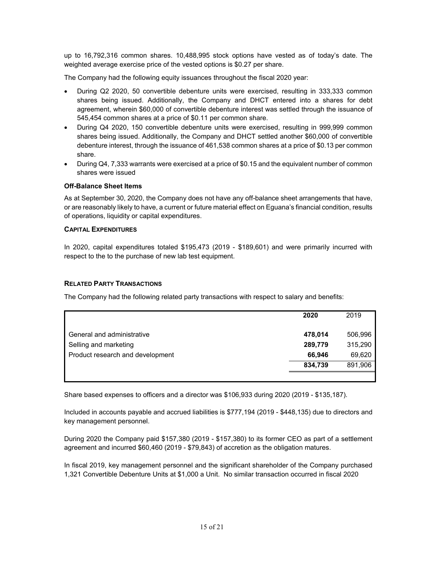up to 16,792,316 common shares. 10,488,995 stock options have vested as of today's date. The weighted average exercise price of the vested options is \$0.27 per share.

The Company had the following equity issuances throughout the fiscal 2020 year:

- During Q2 2020, 50 convertible debenture units were exercised, resulting in 333,333 common shares being issued. Additionally, the Company and DHCT entered into a shares for debt agreement, wherein \$60,000 of convertible debenture interest was settled through the issuance of 545,454 common shares at a price of \$0.11 per common share.
- During Q4 2020, 150 convertible debenture units were exercised, resulting in 999,999 common shares being issued. Additionally, the Company and DHCT settled another \$60,000 of convertible debenture interest, through the issuance of 461,538 common shares at a price of \$0.13 per common share.
- During Q4, 7,333 warrants were exercised at a price of \$0.15 and the equivalent number of common shares were issued

## **Off-Balance Sheet Items**

As at September 30, 2020, the Company does not have any off-balance sheet arrangements that have, or are reasonably likely to have, a current or future material effect on Eguana's financial condition, results of operations, liquidity or capital expenditures.

## **CAPITAL EXPENDITURES**

In 2020, capital expenditures totaled \$195,473 (2019 - \$189,601) and were primarily incurred with respect to the to the purchase of new lab test equipment.

#### **RELATED PARTY TRANSACTIONS**

The Company had the following related party transactions with respect to salary and benefits:

|                                  | 2020    | 2019    |
|----------------------------------|---------|---------|
| General and administrative       | 478,014 | 506,996 |
| Selling and marketing            | 289,779 | 315,290 |
| Product research and development | 66,946  | 69,620  |
|                                  | 834,739 | 891,906 |
|                                  |         |         |

Share based expenses to officers and a director was \$106,933 during 2020 (2019 - \$135,187).

Included in accounts payable and accrued liabilities is \$777,194 (2019 - \$448,135) due to directors and key management personnel.

During 2020 the Company paid \$157,380 (2019 - \$157,380) to its former CEO as part of a settlement agreement and incurred \$60,460 (2019 - \$79,843) of accretion as the obligation matures.

In fiscal 2019, key management personnel and the significant shareholder of the Company purchased 1,321 Convertible Debenture Units at \$1,000 a Unit. No similar transaction occurred in fiscal 2020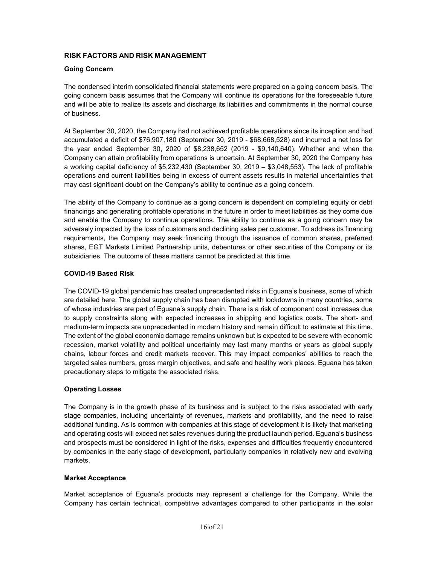# **RISK FACTORS AND RISK MANAGEMENT**

## **Going Concern**

The condensed interim consolidated financial statements were prepared on a going concern basis. The going concern basis assumes that the Company will continue its operations for the foreseeable future and will be able to realize its assets and discharge its liabilities and commitments in the normal course of business.

At September 30, 2020, the Company had not achieved profitable operations since its inception and had accumulated a deficit of \$76,907,180 (September 30, 2019 - \$68,668,528) and incurred a net loss for the year ended September 30, 2020 of \$8,238,652 (2019 - \$9,140,640). Whether and when the Company can attain profitability from operations is uncertain. At September 30, 2020 the Company has a working capital deficiency of \$5,232,430 (September 30, 2019 – \$3,048,553). The lack of profitable operations and current liabilities being in excess of current assets results in material uncertainties that may cast significant doubt on the Company's ability to continue as a going concern.

The ability of the Company to continue as a going concern is dependent on completing equity or debt financings and generating profitable operations in the future in order to meet liabilities as they come due and enable the Company to continue operations. The ability to continue as a going concern may be adversely impacted by the loss of customers and declining sales per customer. To address its financing requirements, the Company may seek financing through the issuance of common shares, preferred shares, EGT Markets Limited Partnership units, debentures or other securities of the Company or its subsidiaries. The outcome of these matters cannot be predicted at this time.

#### **COVID-19 Based Risk**

The COVID-19 global pandemic has created unprecedented risks in Eguana's business, some of which are detailed here. The global supply chain has been disrupted with lockdowns in many countries, some of whose industries are part of Eguana's supply chain. There is a risk of component cost increases due to supply constraints along with expected increases in shipping and logistics costs. The short- and medium-term impacts are unprecedented in modern history and remain difficult to estimate at this time. The extent of the global economic damage remains unknown but is expected to be severe with economic recession, market volatility and political uncertainty may last many months or years as global supply chains, labour forces and credit markets recover. This may impact companies' abilities to reach the targeted sales numbers, gross margin objectives, and safe and healthy work places. Eguana has taken precautionary steps to mitigate the associated risks.

#### **Operating Losses**

The Company is in the growth phase of its business and is subject to the risks associated with early stage companies, including uncertainty of revenues, markets and profitability, and the need to raise additional funding. As is common with companies at this stage of development it is likely that marketing and operating costs will exceed net sales revenues during the product launch period. Eguana's business and prospects must be considered in light of the risks, expenses and difficulties frequently encountered by companies in the early stage of development, particularly companies in relatively new and evolving markets.

#### **Market Acceptance**

Market acceptance of Eguana's products may represent a challenge for the Company. While the Company has certain technical, competitive advantages compared to other participants in the solar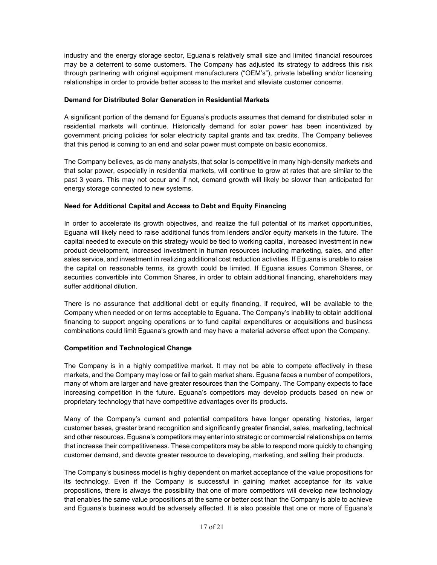industry and the energy storage sector, Eguana's relatively small size and limited financial resources may be a deterrent to some customers. The Company has adjusted its strategy to address this risk through partnering with original equipment manufacturers ("OEM's"), private labelling and/or licensing relationships in order to provide better access to the market and alleviate customer concerns.

#### **Demand for Distributed Solar Generation in Residential Markets**

A significant portion of the demand for Eguana's products assumes that demand for distributed solar in residential markets will continue. Historically demand for solar power has been incentivized by government pricing policies for solar electricity capital grants and tax credits. The Company believes that this period is coming to an end and solar power must compete on basic economics.

The Company believes, as do many analysts, that solar is competitive in many high-density markets and that solar power, especially in residential markets, will continue to grow at rates that are similar to the past 3 years. This may not occur and if not, demand growth will likely be slower than anticipated for energy storage connected to new systems.

# **Need for Additional Capital and Access to Debt and Equity Financing**

In order to accelerate its growth objectives, and realize the full potential of its market opportunities, Eguana will likely need to raise additional funds from lenders and/or equity markets in the future. The capital needed to execute on this strategy would be tied to working capital, increased investment in new product development, increased investment in human resources including marketing, sales, and after sales service, and investment in realizing additional cost reduction activities. If Eguana is unable to raise the capital on reasonable terms, its growth could be limited. If Eguana issues Common Shares, or securities convertible into Common Shares, in order to obtain additional financing, shareholders may suffer additional dilution.

There is no assurance that additional debt or equity financing, if required, will be available to the Company when needed or on terms acceptable to Eguana. The Company's inability to obtain additional financing to support ongoing operations or to fund capital expenditures or acquisitions and business combinations could limit Eguana's growth and may have a material adverse effect upon the Company.

#### **Competition and Technological Change**

The Company is in a highly competitive market. It may not be able to compete effectively in these markets, and the Company may lose or fail to gain market share. Eguana faces a number of competitors, many of whom are larger and have greater resources than the Company. The Company expects to face increasing competition in the future. Eguana's competitors may develop products based on new or proprietary technology that have competitive advantages over its products.

Many of the Company's current and potential competitors have longer operating histories, larger customer bases, greater brand recognition and significantly greater financial, sales, marketing, technical and other resources. Eguana's competitors may enter into strategic or commercial relationships on terms that increase their competitiveness. These competitors may be able to respond more quickly to changing customer demand, and devote greater resource to developing, marketing, and selling their products.

The Company's business model is highly dependent on market acceptance of the value propositions for its technology. Even if the Company is successful in gaining market acceptance for its value propositions, there is always the possibility that one of more competitors will develop new technology that enables the same value propositions at the same or better cost than the Company is able to achieve and Eguana's business would be adversely affected. It is also possible that one or more of Eguana's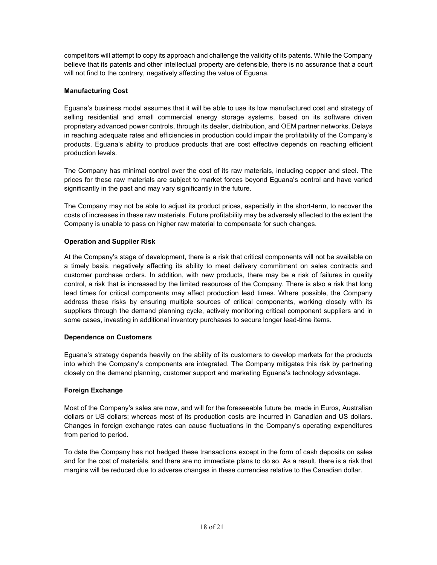competitors will attempt to copy its approach and challenge the validity of its patents. While the Company believe that its patents and other intellectual property are defensible, there is no assurance that a court will not find to the contrary, negatively affecting the value of Eguana.

# **Manufacturing Cost**

Eguana's business model assumes that it will be able to use its low manufactured cost and strategy of selling residential and small commercial energy storage systems, based on its software driven proprietary advanced power controls, through its dealer, distribution, and OEM partner networks. Delays in reaching adequate rates and efficiencies in production could impair the profitability of the Company's products. Eguana's ability to produce products that are cost effective depends on reaching efficient production levels.

The Company has minimal control over the cost of its raw materials, including copper and steel. The prices for these raw materials are subject to market forces beyond Eguana's control and have varied significantly in the past and may vary significantly in the future.

The Company may not be able to adjust its product prices, especially in the short-term, to recover the costs of increases in these raw materials. Future profitability may be adversely affected to the extent the Company is unable to pass on higher raw material to compensate for such changes.

# **Operation and Supplier Risk**

At the Company's stage of development, there is a risk that critical components will not be available on a timely basis, negatively affecting its ability to meet delivery commitment on sales contracts and customer purchase orders. In addition, with new products, there may be a risk of failures in quality control, a risk that is increased by the limited resources of the Company. There is also a risk that long lead times for critical components may affect production lead times. Where possible, the Company address these risks by ensuring multiple sources of critical components, working closely with its suppliers through the demand planning cycle, actively monitoring critical component suppliers and in some cases, investing in additional inventory purchases to secure longer lead-time items.

# **Dependence on Customers**

Eguana's strategy depends heavily on the ability of its customers to develop markets for the products into which the Company's components are integrated. The Company mitigates this risk by partnering closely on the demand planning, customer support and marketing Eguana's technology advantage.

# **Foreign Exchange**

Most of the Company's sales are now, and will for the foreseeable future be, made in Euros, Australian dollars or US dollars; whereas most of its production costs are incurred in Canadian and US dollars. Changes in foreign exchange rates can cause fluctuations in the Company's operating expenditures from period to period.

To date the Company has not hedged these transactions except in the form of cash deposits on sales and for the cost of materials, and there are no immediate plans to do so. As a result, there is a risk that margins will be reduced due to adverse changes in these currencies relative to the Canadian dollar.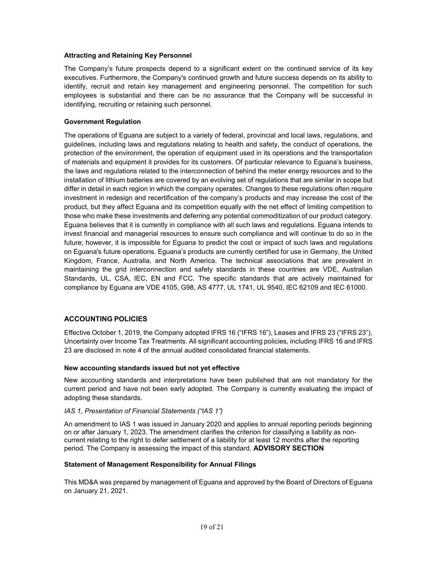#### **Attracting and Retaining Key Personnel**

The Company's future prospects depend to a significant extent on the continued service of its key executives. Furthermore, the Company's continued growth and future success depends on its ability to identify, recruit and retain key management and engineering personnel. The competition for such employees is substantial and there can be no assurance that the Company will be successful in identifying, recruiting or retaining such personnel.

#### **Government Regulation**

The operations of Eguana are subject to a variety of federal, provincial and local laws, regulations, and guidelines, including laws and regulations relating to health and safety, the conduct of operations, the protection of the environment, the operation of equipment used in its operations and the transportation of materials and equipment it provides for its customers. Of particular relevance to Eguana's business, the laws and regulations related to the interconnection of behind the meter energy resources and to the installation of lithium batteries are covered by an evolving set of regulations that are similar in scope but differ in detail in each region in which the company operates. Changes to these regulations often require investment in redesign and recertification of the company's products and may increase the cost of the product, but they affect Eguana and its competition equally with the net effect of limiting competition to those who make these investments and deferring any potential commoditization of our product category. Eguana believes that it is currently in compliance with all such laws and regulations. Eguana intends to invest financial and managerial resources to ensure such compliance and will continue to do so in the future; however, it is impossible for Eguana to predict the cost or impact of such laws and regulations on Eguana's future operations. Eguana's products are currently certified for use in Germany, the United Kingdom, France, Australia, and North America. The technical associations that are prevalent in maintaining the grid interconnection and safety standards in these countries are VDE, Australian Standards, UL, CSA, IEC, EN and FCC. The specific standards that are actively maintained for compliance by Eguana are VDE 4105, G98, AS 4777, UL 1741, UL 9540, IEC 62109 and IEC 61000.

#### **ACCOUNTING POLICIES**

Effective October 1, 2019, the Company adopted IFRS 16 ("IFRS 16"), Leases and IFRS 23 ("IFRS 23"), Uncertainty over Income Tax Treatments. All significant accounting policies, including IFRS 16 and IFRS 23 are disclosed in note 4 of the annual audited consolidated financial statements.

#### **New accounting standards issued but not yet effective**

New accounting standards and interpretations have been published that are not mandatory for the current period and have not been early adopted. The Company is currently evaluating the impact of adopting these standards.

#### *IAS 1, Presentation of Financial Statements ("IAS 1")*

An amendment to IAS 1 was issued in January 2020 and applies to annual reporting periods beginning on or after January 1, 2023. The amendment clarifies the criterion for classifying a liability as noncurrent relating to the right to defer settlement of a liability for at least 12 months after the reporting period. The Company is assessing the impact of this standard. **ADVISORY SECTION**

#### **Statement of Management Responsibility for Annual Filings**

This MD&A was prepared by management of Eguana and approved by the Board of Directors of Eguana on January 21, 2021.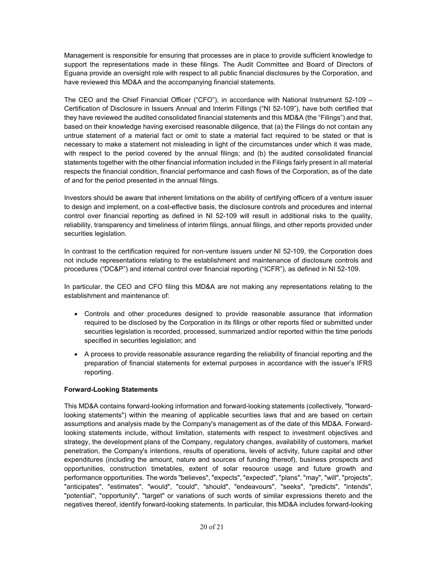Management is responsible for ensuring that processes are in place to provide sufficient knowledge to support the representations made in these filings. The Audit Committee and Board of Directors of Eguana provide an oversight role with respect to all public financial disclosures by the Corporation, and have reviewed this MD&A and the accompanying financial statements.

The CEO and the Chief Financial Officer ("CFO"), in accordance with National Instrument 52-109 – Certification of Disclosure in Issuers Annual and Interim Fillings ("NI 52-109"), have both certified that they have reviewed the audited consolidated financial statements and this MD&A (the "Filings") and that, based on their knowledge having exercised reasonable diligence, that (a) the Filings do not contain any untrue statement of a material fact or omit to state a material fact required to be stated or that is necessary to make a statement not misleading in light of the circumstances under which it was made, with respect to the period covered by the annual filings; and (b) the audited consolidated financial statements together with the other financial information included in the Filings fairly present in all material respects the financial condition, financial performance and cash flows of the Corporation, as of the date of and for the period presented in the annual filings.

Investors should be aware that inherent limitations on the ability of certifying officers of a venture issuer to design and implement, on a cost-effective basis, the disclosure controls and procedures and internal control over financial reporting as defined in NI 52-109 will result in additional risks to the quality, reliability, transparency and timeliness of interim filings, annual filings, and other reports provided under securities legislation.

In contrast to the certification required for non-venture issuers under NI 52-109, the Corporation does not include representations relating to the establishment and maintenance of disclosure controls and procedures ("DC&P") and internal control over financial reporting ("ICFR"), as defined in NI 52-109.

In particular, the CEO and CFO filing this MD&A are not making any representations relating to the establishment and maintenance of:

- Controls and other procedures designed to provide reasonable assurance that information required to be disclosed by the Corporation in its filings or other reports filed or submitted under securities legislation is recorded, processed, summarized and/or reported within the time periods specified in securities legislation; and
- A process to provide reasonable assurance regarding the reliability of financial reporting and the preparation of financial statements for external purposes in accordance with the issuer's IFRS reporting.

# **Forward-Looking Statements**

This MD&A contains forward-looking information and forward-looking statements (collectively, "forwardlooking statements") within the meaning of applicable securities laws that and are based on certain assumptions and analysis made by the Company's management as of the date of this MD&A. Forwardlooking statements include, without limitation, statements with respect to investment objectives and strategy, the development plans of the Company, regulatory changes, availability of customers, market penetration, the Company's intentions, results of operations, levels of activity, future capital and other expenditures (including the amount, nature and sources of funding thereof), business prospects and opportunities, construction timetables, extent of solar resource usage and future growth and performance opportunities. The words "believes", "expects", "expected", "plans", "may", "will", "projects", "anticipates", "estimates", "would", "could", "should", "endeavours", "seeks", "predicts", "intends", "potential", "opportunity", "target" or variations of such words of similar expressions thereto and the negatives thereof, identify forward-looking statements. In particular, this MD&A includes forward-looking